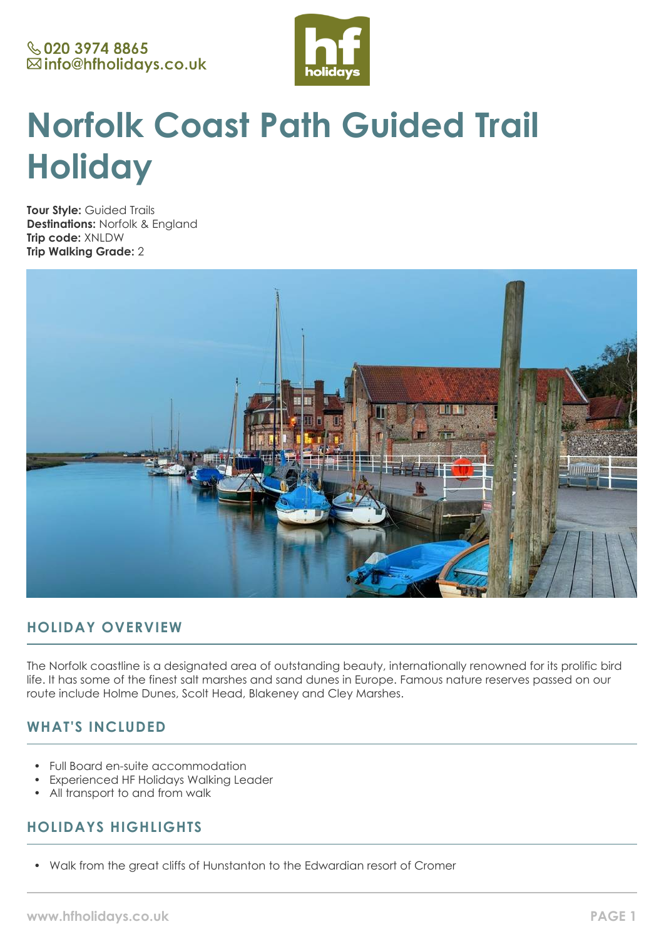

# **Norfolk Coast Path Guided Trail Holiday**

**Tour Style:** Guided Trails **Destinations:** Norfolk & England **Trip code:** XNLDW **Trip Walking Grade:** 2



# **HOLIDAY OVERVIEW**

The Norfolk coastline is a designated area of outstanding beauty, internationally renowned for its prolific bird life. It has some of the finest salt marshes and sand dunes in Europe. Famous nature reserves passed on our route include Holme Dunes, Scolt Head, Blakeney and Cley Marshes.

# **WHAT'S INCLUDED**

- Full Board en-suite accommodation
- Experienced HF Holidays Walking Leader
- All transport to and from walk

# **HOLIDAYS HIGHLIGHTS**

• Walk from the great cliffs of Hunstanton to the Edwardian resort of Cromer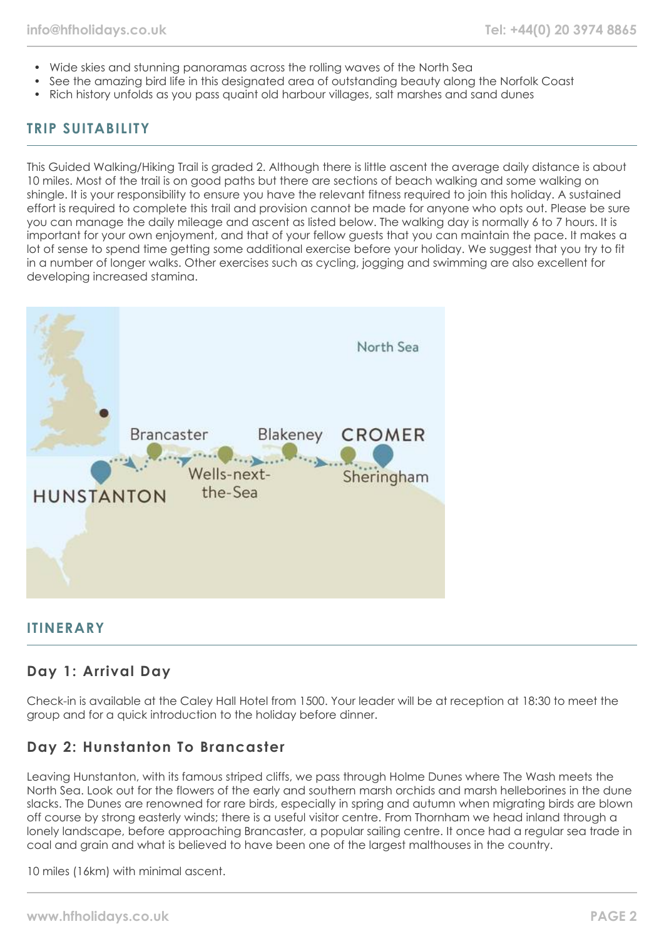- Wide skies and stunning panoramas across the rolling waves of the North Sea
- See the amazing bird life in this designated area of outstanding beauty along the Norfolk Coast
- Rich history unfolds as you pass quaint old harbour villages, salt marshes and sand dunes

# **TRIP SUITABILITY**

This Guided Walking/Hiking Trail is graded 2. Although there is little ascent the average daily distance is about 10 miles. Most of the trail is on good paths but there are sections of beach walking and some walking on shingle. It is your responsibility to ensure you have the relevant fitness required to join this holiday. A sustained effort is required to complete this trail and provision cannot be made for anyone who opts out. Please be sure you can manage the daily mileage and ascent as listed below. The walking day is normally 6 to 7 hours. It is important for your own enjoyment, and that of your fellow guests that you can maintain the pace. It makes a lot of sense to spend time getting some additional exercise before your holiday. We suggest that you try to fit in a number of longer walks. Other exercises such as cycling, jogging and swimming are also excellent for developing increased stamina.



### **ITINERARY**

# **Day 1: Arrival Day**

Check-in is available at the Caley Hall Hotel from 1500. Your leader will be at reception at 18:30 to meet the group and for a quick introduction to the holiday before dinner.

# **Day 2: Hunstanton To Brancaster**

Leaving Hunstanton, with its famous striped cliffs, we pass through Holme Dunes where The Wash meets the North Sea. Look out for the flowers of the early and southern marsh orchids and marsh helleborines in the dune slacks. The Dunes are renowned for rare birds, especially in spring and autumn when migrating birds are blown off course by strong easterly winds; there is a useful visitor centre. From Thornham we head inland through a lonely landscape, before approaching Brancaster, a popular sailing centre. It once had a regular sea trade in coal and grain and what is believed to have been one of the largest malthouses in the country.

10 miles (16km) with minimal ascent.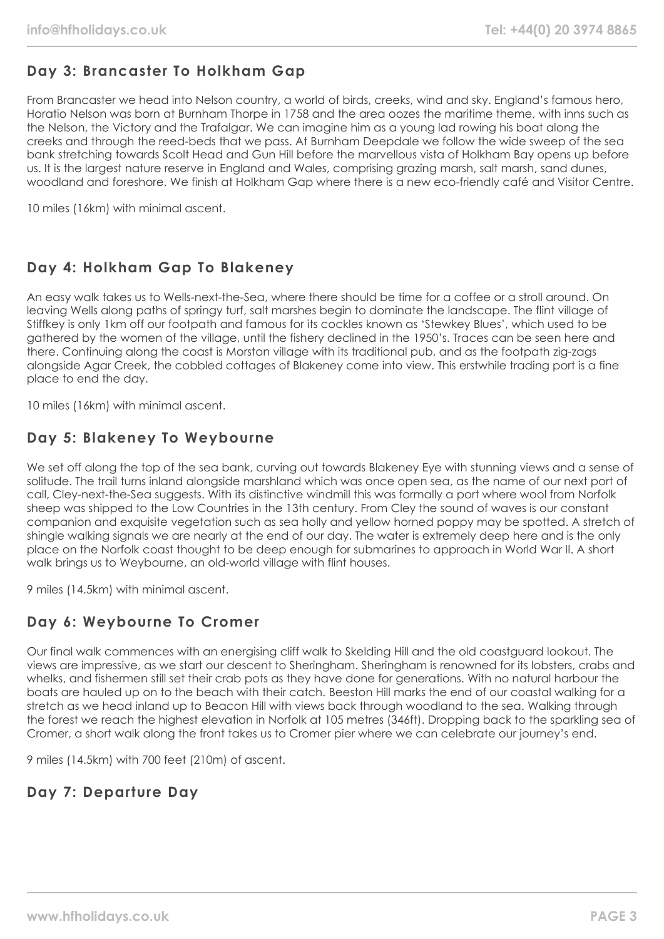# **Day 3: Brancaster To Holkham Gap**

From Brancaster we head into Nelson country, a world of birds, creeks, wind and sky. England's famous hero, Horatio Nelson was born at Burnham Thorpe in 1758 and the area oozes the maritime theme, with inns such as the Nelson, the Victory and the Trafalgar. We can imagine him as a young lad rowing his boat along the creeks and through the reed-beds that we pass. At Burnham Deepdale we follow the wide sweep of the sea bank stretching towards Scolt Head and Gun Hill before the marvellous vista of Holkham Bay opens up before us. It is the largest nature reserve in England and Wales, comprising grazing marsh, salt marsh, sand dunes, woodland and foreshore. We finish at Holkham Gap where there is a new eco-friendly café and Visitor Centre.

10 miles (16km) with minimal ascent.

# **Day 4: Holkham Gap To Blakeney**

An easy walk takes us to Wells-next-the-Sea, where there should be time for a coffee or a stroll around. On leaving Wells along paths of springy turf, salt marshes begin to dominate the landscape. The flint village of Stiffkey is only 1km off our footpath and famous for its cockles known as 'Stewkey Blues', which used to be gathered by the women of the village, until the fishery declined in the 1950's. Traces can be seen here and there. Continuing along the coast is Morston village with its traditional pub, and as the footpath zig-zags alongside Agar Creek, the cobbled cottages of Blakeney come into view. This erstwhile trading port is a fine place to end the day.

10 miles (16km) with minimal ascent.

# **Day 5: Blakeney To Weybourne**

We set off along the top of the sea bank, curving out towards Blakeney Eye with stunning views and a sense of solitude. The trail turns inland alongside marshland which was once open sea, as the name of our next port of call, Cley-next-the-Sea suggests. With its distinctive windmill this was formally a port where wool from Norfolk sheep was shipped to the Low Countries in the 13th century. From Cley the sound of waves is our constant companion and exquisite vegetation such as sea holly and yellow horned poppy may be spotted. A stretch of shingle walking signals we are nearly at the end of our day. The water is extremely deep here and is the only place on the Norfolk coast thought to be deep enough for submarines to approach in World War II. A short walk brings us to Weybourne, an old-world village with flint houses.

9 miles (14.5km) with minimal ascent.

# **Day 6: Weybourne To Cromer**

Our final walk commences with an energising cliff walk to Skelding Hill and the old coastguard lookout. The views are impressive, as we start our descent to Sheringham. Sheringham is renowned for its lobsters, crabs and whelks, and fishermen still set their crab pots as they have done for generations. With no natural harbour the boats are hauled up on to the beach with their catch. Beeston Hill marks the end of our coastal walking for a stretch as we head inland up to Beacon Hill with views back through woodland to the sea. Walking through the forest we reach the highest elevation in Norfolk at 105 metres (346ft). Dropping back to the sparkling sea of Cromer, a short walk along the front takes us to Cromer pier where we can celebrate our journey's end.

9 miles (14.5km) with 700 feet (210m) of ascent.

# **Day 7: Departure Day**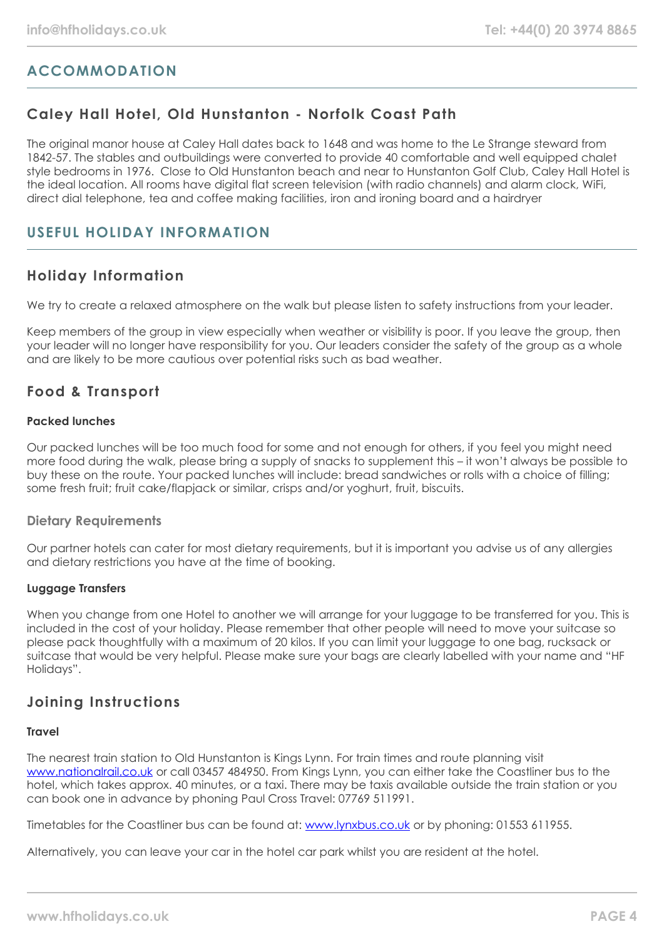# **ACCOMMODATION**

# **Caley Hall Hotel, Old Hunstanton - Norfolk Coast Path**

The original manor house at Caley Hall dates back to 1648 and was home to the Le Strange steward from 1842-57. The stables and outbuildings were converted to provide 40 comfortable and well equipped chalet style bedrooms in 1976. Close to Old Hunstanton beach and near to Hunstanton Golf Club, Caley Hall Hotel is the ideal location. All rooms have digital flat screen television (with radio channels) and alarm clock, WiFi, direct dial telephone, tea and coffee making facilities, iron and ironing board and a hairdryer

### **USEFUL HOLIDAY INFORMATION**

# **Holiday Information**

We try to create a relaxed atmosphere on the walk but please listen to safety instructions from your leader.

Keep members of the group in view especially when weather or visibility is poor. If you leave the group, then your leader will no longer have responsibility for you. Our leaders consider the safety of the group as a whole and are likely to be more cautious over potential risks such as bad weather.

### **Food & Transport**

### **Packed lunches**

Our packed lunches will be too much food for some and not enough for others, if you feel you might need more food during the walk, please bring a supply of snacks to supplement this – it won't always be possible to buy these on the route. Your packed lunches will include: bread sandwiches or rolls with a choice of filling; some fresh fruit; fruit cake/flapjack or similar, crisps and/or yoghurt, fruit, biscuits.

### **Dietary Requirements**

Our partner hotels can cater for most dietary requirements, but it is important you advise us of any allergies and dietary restrictions you have at the time of booking.

### **Luggage Transfers**

When you change from one Hotel to another we will arrange for your luggage to be transferred for you. This is included in the cost of your holiday. Please remember that other people will need to move your suitcase so please pack thoughtfully with a maximum of 20 kilos. If you can limit your luggage to one bag, rucksack or suitcase that would be very helpful. Please make sure your bags are clearly labelled with your name and "HF Holidays".

# **Joining Instructions**

### **Travel**

The nearest train station to Old Hunstanton is Kings Lynn. For train times and route planning visit [www.nationalrail.co.uk](http://www.nationalrail.co.uk/) or call 03457 484950. From Kings Lynn, you can either take the Coastliner bus to the hotel, which takes approx. 40 minutes, or a taxi. There may be taxis available outside the train station or you can book one in advance by phoning Paul Cross Travel: 07769 511991.

Timetables for the Coastliner bus can be found at: [www.lynxbus.co.uk](http://www.lynxbus.co.uk/) or by phoning: 01553 611955.

Alternatively, you can leave your car in the hotel car park whilst you are resident at the hotel.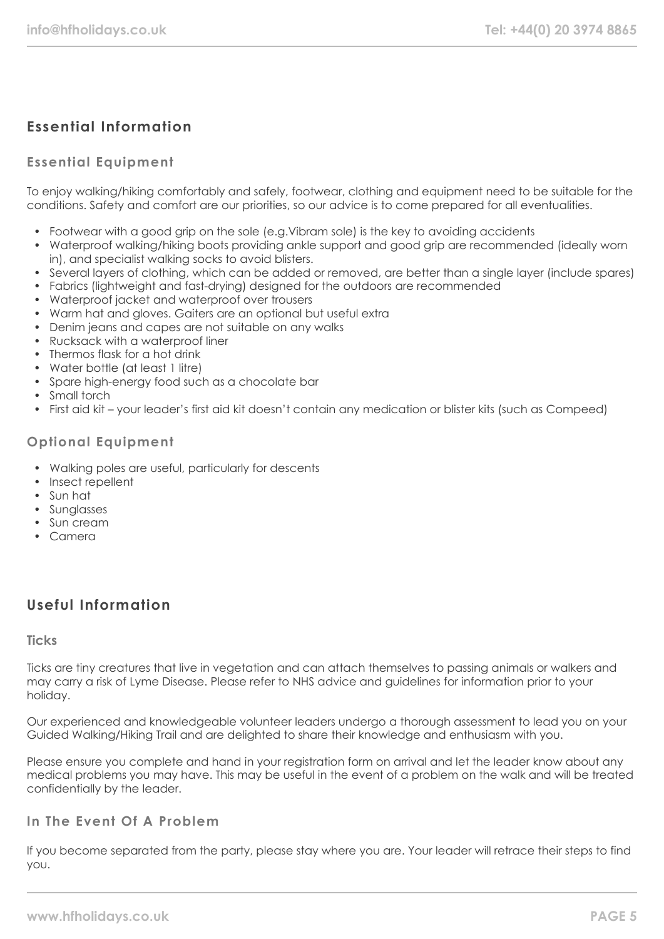# **Essential Information**

### **Essential Equipment**

To enjoy walking/hiking comfortably and safely, footwear, clothing and equipment need to be suitable for the conditions. Safety and comfort are our priorities, so our advice is to come prepared for all eventualities.

- Footwear with a good grip on the sole (e.g.Vibram sole) is the key to avoiding accidents
- Waterproof walking/hiking boots providing ankle support and good grip are recommended (ideally worn in), and specialist walking socks to avoid blisters.
- Several layers of clothing, which can be added or removed, are better than a single layer (include spares)
- Fabrics (lightweight and fast-drying) designed for the outdoors are recommended
- Waterproof jacket and waterproof over trousers
- Warm hat and gloves. Gaiters are an optional but useful extra
- Denim jeans and capes are not suitable on any walks
- Rucksack with a waterproof liner
- Thermos flask for a hot drink
- Water bottle (at least 1 litre)
- Spare high-energy food such as a chocolate bar
- Small torch
- First aid kit your leader's first aid kit doesn't contain any medication or blister kits (such as Compeed)

### **Optional Equipment**

- Walking poles are useful, particularly for descents
- Insect repellent
- Sun hat
- Sunglasses
- Sun cream
- Camera

# **Useful Information**

#### **Ticks**

Ticks are tiny creatures that live in vegetation and can attach themselves to passing animals or walkers and may carry a risk of Lyme Disease. Please refer to NHS advice and guidelines for information prior to your holiday.

Our experienced and knowledgeable volunteer leaders undergo a thorough assessment to lead you on your Guided Walking/Hiking Trail and are delighted to share their knowledge and enthusiasm with you.

Please ensure you complete and hand in your registration form on arrival and let the leader know about any medical problems you may have. This may be useful in the event of a problem on the walk and will be treated confidentially by the leader.

### **In The Event Of A Problem**

If you become separated from the party, please stay where you are. Your leader will retrace their steps to find you.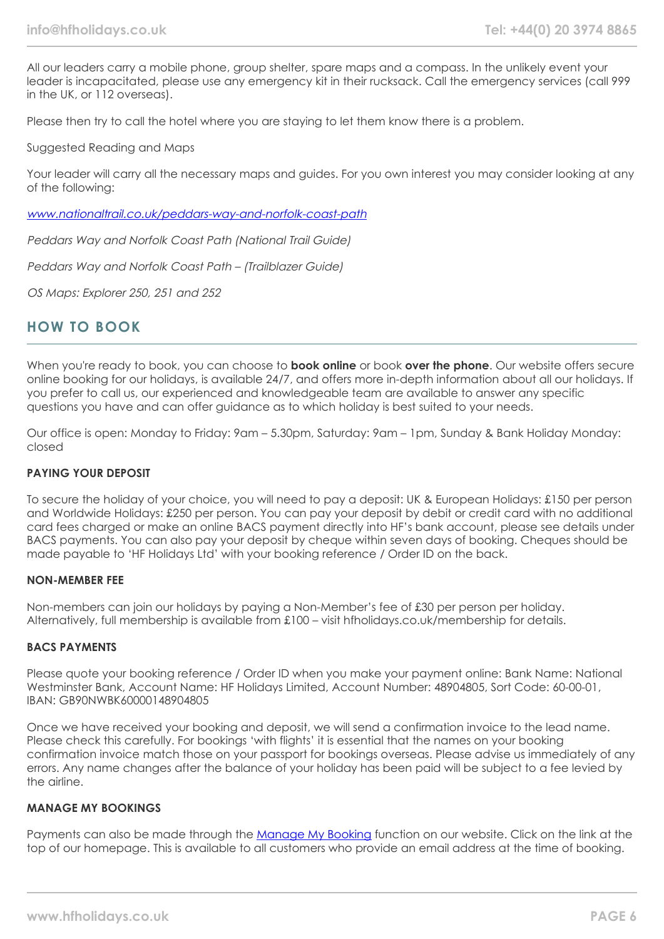All our leaders carry a mobile phone, group shelter, spare maps and a compass. In the unlikely event your leader is incapacitated, please use any emergency kit in their rucksack. Call the emergency services (call 999 in the UK, or 112 overseas).

Please then try to call the hotel where you are staying to let them know there is a problem.

Suggested Reading and Maps

Your leader will carry all the necessary maps and guides. For you own interest you may consider looking at any of the following:

[www.nationaltrail.co.uk/peddars-way-and-norfolk-coast-path](http://www.nationaltrail.co.uk/peddars-way-and-norfolk-coast-path)

Peddars Way and Norfolk Coast Path (National Trail Guide)

Peddars Way and Norfolk Coast Path – (Trailblazer Guide)

OS Maps: Explorer 250, 251 and 252

### **HOW TO BOOK**

When you're ready to book, you can choose to **book online** or book **over the phone**. Our website offers secure online booking for our holidays, is available 24/7, and offers more in-depth information about all our holidays. If you prefer to call us, our experienced and knowledgeable team are available to answer any specific questions you have and can offer guidance as to which holiday is best suited to your needs.

Our office is open: Monday to Friday: 9am – 5.30pm, Saturday: 9am – 1pm, Sunday & Bank Holiday Monday: closed

#### **PAYING YOUR DEPOSIT**

To secure the holiday of your choice, you will need to pay a deposit: UK & European Holidays: £150 per person and Worldwide Holidays: £250 per person. You can pay your deposit by debit or credit card with no additional card fees charged or make an online BACS payment directly into HF's bank account, please see details under BACS payments. You can also pay your deposit by cheque within seven days of booking. Cheques should be made payable to 'HF Holidays Ltd' with your booking reference / Order ID on the back.

#### **NON-MEMBER FEE**

Non-members can join our holidays by paying a Non-Member's fee of £30 per person per holiday. Alternatively, full membership is available from £100 – visit hfholidays.co.uk/membership for details.

#### **BACS PAYMENTS**

Please quote your booking reference / Order ID when you make your payment online: Bank Name: National Westminster Bank, Account Name: HF Holidays Limited, Account Number: 48904805, Sort Code: 60-00-01, IBAN: GB90NWBK60000148904805

Once we have received your booking and deposit, we will send a confirmation invoice to the lead name. Please check this carefully. For bookings 'with flights' it is essential that the names on your booking confirmation invoice match those on your passport for bookings overseas. Please advise us immediately of any errors. Any name changes after the balance of your holiday has been paid will be subject to a fee levied by the airline.

#### **MANAGE MY BOOKINGS**

Payments can also be made through the [Manage My Booking](https://www.hfholidays.co.uk/about-us/bookings/my-booking) function on our website. Click on the link at the top of our homepage. This is available to all customers who provide an email address at the time of booking.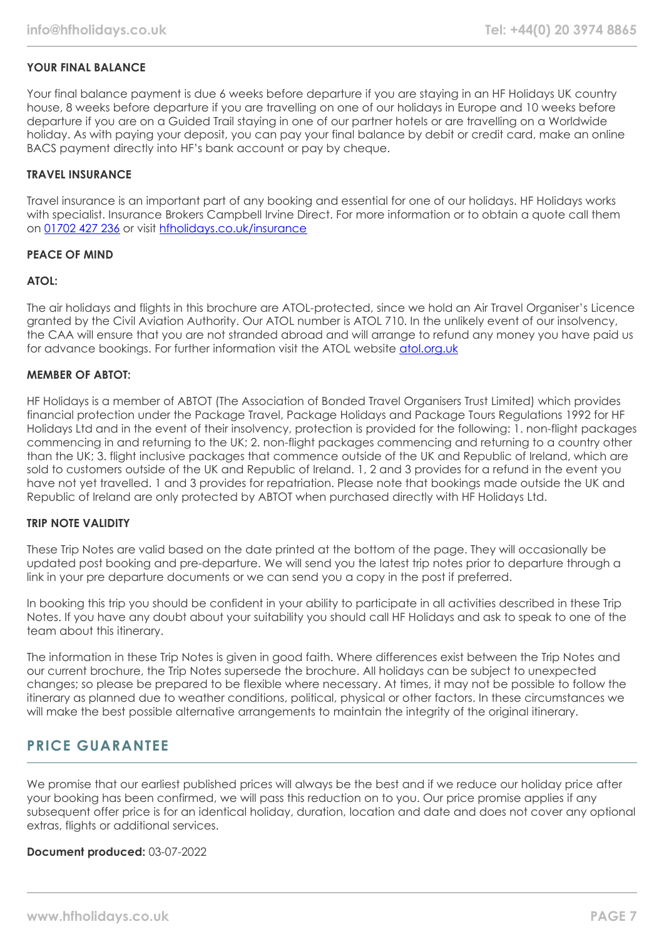### **YOUR FINAL BALANCE**

Your final balance payment is due 6 weeks before departure if you are staying in an HF Holidays UK country house, 8 weeks before departure if you are travelling on one of our holidays in Europe and 10 weeks before departure if you are on a Guided Trail staying in one of our partner hotels or are travelling on a Worldwide holiday. As with paying your deposit, you can pay your final balance by debit or credit card, make an online BACS payment directly into HF's bank account or pay by cheque.

#### **TRAVEL INSURANCE**

Travel insurance is an important part of any booking and essential for one of our holidays. HF Holidays works with specialist. Insurance Brokers Campbell Irvine Direct. For more information or to obtain a quote call them on [01702 427 236](tel:01702427236) or visit [hfholidays.co.uk/insurance](https://www.hfholidays.co.uk/about-us/bookings/insurance)

#### **PEACE OF MIND**

#### **ATOL:**

The air holidays and flights in this brochure are ATOL-protected, since we hold an Air Travel Organiser's Licence granted by the Civil Aviation Authority. Our ATOL number is ATOL 710. In the unlikely event of our insolvency, the CAA will ensure that you are not stranded abroad and will arrange to refund any money you have paid us for advance bookings. For further information visit the ATOL website [atol.org.uk](https://www.atol.org/)

#### **MEMBER OF ABTOT:**

HF Holidays is a member of ABTOT (The Association of Bonded Travel Organisers Trust Limited) which provides financial protection under the Package Travel, Package Holidays and Package Tours Regulations 1992 for HF Holidays Ltd and in the event of their insolvency, protection is provided for the following: 1. non-flight packages commencing in and returning to the UK; 2. non-flight packages commencing and returning to a country other than the UK; 3. flight inclusive packages that commence outside of the UK and Republic of Ireland, which are sold to customers outside of the UK and Republic of Ireland. 1, 2 and 3 provides for a refund in the event you have not yet travelled. 1 and 3 provides for repatriation. Please note that bookings made outside the UK and Republic of Ireland are only protected by ABTOT when purchased directly with HF Holidays Ltd.

#### **TRIP NOTE VALIDITY**

These Trip Notes are valid based on the date printed at the bottom of the page. They will occasionally be updated post booking and pre-departure. We will send you the latest trip notes prior to departure through a link in your pre departure documents or we can send you a copy in the post if preferred.

In booking this trip you should be confident in your ability to participate in all activities described in these Trip Notes. If you have any doubt about your suitability you should call HF Holidays and ask to speak to one of the team about this itinerary.

The information in these Trip Notes is given in good faith. Where differences exist between the Trip Notes and our current brochure, the Trip Notes supersede the brochure. All holidays can be subject to unexpected changes; so please be prepared to be flexible where necessary. At times, it may not be possible to follow the itinerary as planned due to weather conditions, political, physical or other factors. In these circumstances we will make the best possible alternative arrangements to maintain the integrity of the original itinerary.

### **PRICE GUARANTEE**

We promise that our earliest published prices will always be the best and if we reduce our holiday price after your booking has been confirmed, we will pass this reduction on to you. Our price promise applies if any subsequent offer price is for an identical holiday, duration, location and date and does not cover any optional extras, flights or additional services.

#### **Document produced:** 03-07-2022